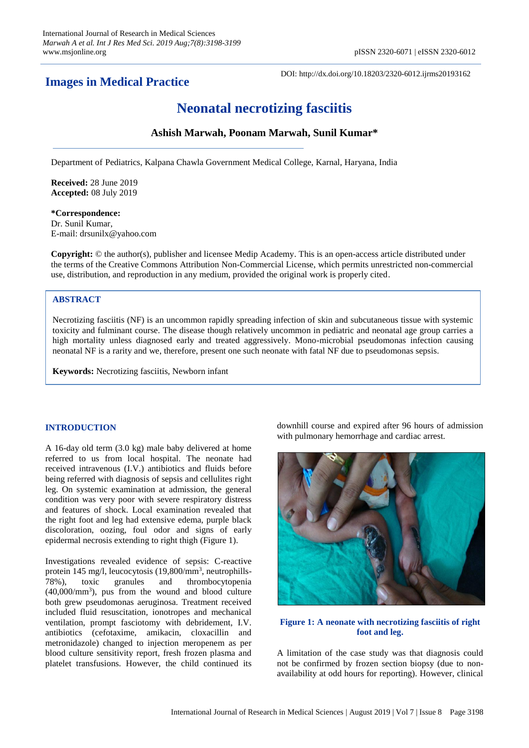# **Images in Medical Practice**

DOI: http://dx.doi.org/10.18203/2320-6012.ijrms20193162

# **Neonatal necrotizing fasciitis**

## **Ashish Marwah, Poonam Marwah, Sunil Kumar\***

Department of Pediatrics, Kalpana Chawla Government Medical College, Karnal, Haryana, India

**Received:** 28 June 2019 **Accepted:** 08 July 2019

#### **\*Correspondence:** Dr. Sunil Kumar,

E-mail: drsunilx@yahoo.com

**Copyright:** © the author(s), publisher and licensee Medip Academy. This is an open-access article distributed under the terms of the Creative Commons Attribution Non-Commercial License, which permits unrestricted non-commercial use, distribution, and reproduction in any medium, provided the original work is properly cited.

### **ABSTRACT**

Necrotizing fasciitis (NF) is an uncommon rapidly spreading infection of skin and subcutaneous tissue with systemic toxicity and fulminant course. The disease though relatively uncommon in pediatric and neonatal age group carries a high mortality unless diagnosed early and treated aggressively. Mono-microbial pseudomonas infection causing neonatal NF is a rarity and we, therefore, present one such neonate with fatal NF due to pseudomonas sepsis.

**Keywords:** Necrotizing fasciitis, Newborn infant

#### **INTRODUCTION**

A 16-day old term (3.0 kg) male baby delivered at home referred to us from local hospital. The neonate had received intravenous (I.V.) antibiotics and fluids before being referred with diagnosis of sepsis and cellulites right leg. On systemic examination at admission, the general condition was very poor with severe respiratory distress and features of shock. Local examination revealed that the right foot and leg had extensive edema, purple black discoloration, oozing, foul odor and signs of early epidermal necrosis extending to right thigh (Figure 1).

Investigations revealed evidence of sepsis: C-reactive protein 145 mg/l, leucocytosis (19,800/mm<sup>3</sup>, neutrophills-78%), toxic granules and thrombocytopenia (40,000/mm<sup>3</sup> ), pus from the wound and blood culture both grew pseudomonas aeruginosa. Treatment received included fluid resuscitation, ionotropes and mechanical ventilation, prompt fasciotomy with debridement, I.V. antibiotics (cefotaxime, amikacin, cloxacillin and metronidazole) changed to injection meropenem as per blood culture sensitivity report, fresh frozen plasma and platelet transfusions. However, the child continued its downhill course and expired after 96 hours of admission with pulmonary hemorrhage and cardiac arrest.



#### **Figure 1: A neonate with necrotizing fasciitis of right foot and leg.**

A limitation of the case study was that diagnosis could not be confirmed by frozen section biopsy (due to nonavailability at odd hours for reporting). However, clinical